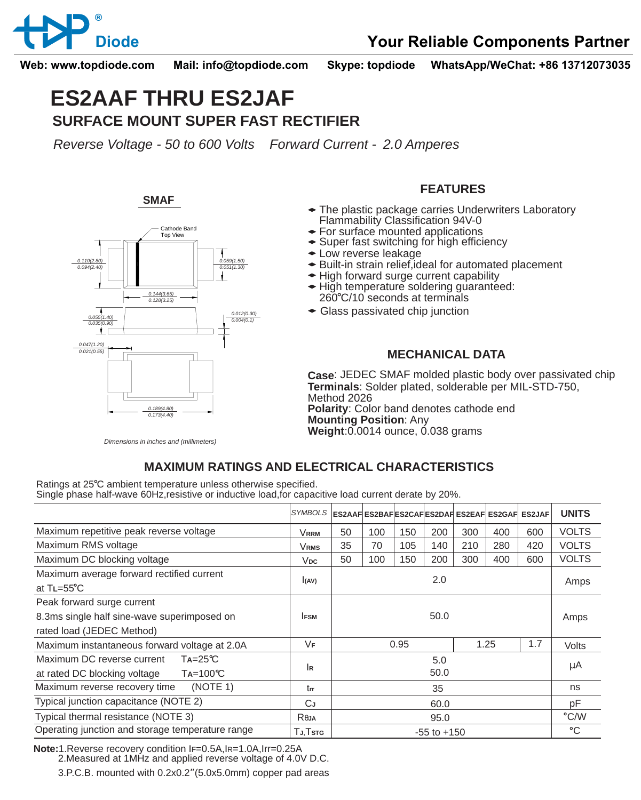

**Web: www.topdiode.com Mail: info@topdiode.com Skype: topdiode WhatsApp/WeChat: +86 13712073035**

# **ES2AAF THRU ES2JAF SURFACE MOUNT SUPER FAST RECTIFIER**

*Reverse Voltage - 50 to 600 Volts Forward Current - 2.0 Amperes*

**SMAF**



### **FEATURES**

- The plastic package carries Underwriters Laboratory Flammability Classification 94V-0
- For surface mounted applications
- Super fast switching for high efficiency
- Low reverse leakage
- ◆ Built-in strain relief, ideal for automated placement
- High forward surge current capability
- High temperature soldering quaranteed: 260°C/10 seconds at terminals
- Glass passivated chip junction

#### **MECHANICAL DATA**

**Case** : JEDEC SMAF molded plastic body over passivated chip **Terminals**: Solder plated, solderable per MIL-STD-750, Method 2026 **Polarity**: Color band denotes cathode end **Mounting Position**: Any **Weight:** 0.0014 ounce, 0.038 grams

*Dimensions in inches and (millimeters)*

## **MAXIMUM RATINGS AND ELECTRICAL CHARACTERISTICS**

Ratings at 25°C ambient temperature unless otherwise specified. Single phase half-wave 60Hz,resistive or inductive load,for capacitive load current derate by 20%.

|                                                                                                        | <b>SYMBOLS</b>  |                 |      |     |      |     | ES2AAF ES2BAF ES2CAF ES2DAF ES2EAF ES2GAF ES2JAF |              | <b>UNITS</b>  |
|--------------------------------------------------------------------------------------------------------|-----------------|-----------------|------|-----|------|-----|--------------------------------------------------|--------------|---------------|
| Maximum repetitive peak reverse voltage                                                                | <b>VRRM</b>     | 50              | 100  | 150 | 200  | 300 | 400                                              | 600          | <b>VOLTS</b>  |
| Maximum RMS voltage                                                                                    | <b>VRMS</b>     | 35              | 70   | 105 | 140  | 210 | 280                                              | 420          | <b>VOLTS</b>  |
| Maximum DC blocking voltage                                                                            | V <sub>DC</sub> | 50              | 100  | 150 | 200  | 300 | 400                                              | 600          | <b>VOLTS</b>  |
| Maximum average forward rectified current<br>at $TL = 55^{\circ}C$                                     | I(AV)           | 2.0             |      |     |      |     |                                                  |              | Amps          |
| Peak forward surge current<br>8.3ms single half sine-wave superimposed on<br>rated load (JEDEC Method) | <b>IFSM</b>     | 50.0            |      |     |      |     |                                                  | Amps         |               |
| Maximum instantaneous forward voltage at 2.0A                                                          | VF              |                 | 0.95 |     | 1.25 |     | 1.7                                              | <b>Volts</b> |               |
| Maximum DC reverse current<br>$Ta = 25^{\circ}C$<br>at rated DC blocking voltage<br>$Ta=100^{\circ}C$  | lĸ              | 5.0<br>50.0     |      |     |      |     |                                                  | μA           |               |
| (NOTE 1)<br>Maximum reverse recovery time                                                              | trr             |                 | 35   |     |      |     |                                                  |              | ns            |
| Typical junction capacitance (NOTE 2)                                                                  | СJ              | 60.0            |      |     |      |     |                                                  |              | pF            |
| Typical thermal resistance (NOTE 3)                                                                    | Reja            | 95.0            |      |     |      |     |                                                  |              | $\degree$ C/W |
| Operating junction and storage temperature range                                                       | TJ.Tstg         | $-55$ to $+150$ |      |     |      |     |                                                  |              | °C            |

**Note:**1.Reverse recovery condition IF=0.5A,IR=1.0A,Irr=0.25A

2.Measured at 1MHz and applied reverse voltage of 4.0V D.C.

3.P.C.B. mounted with 0.2x0.2"(5.0x5.0mm) copper pad areas